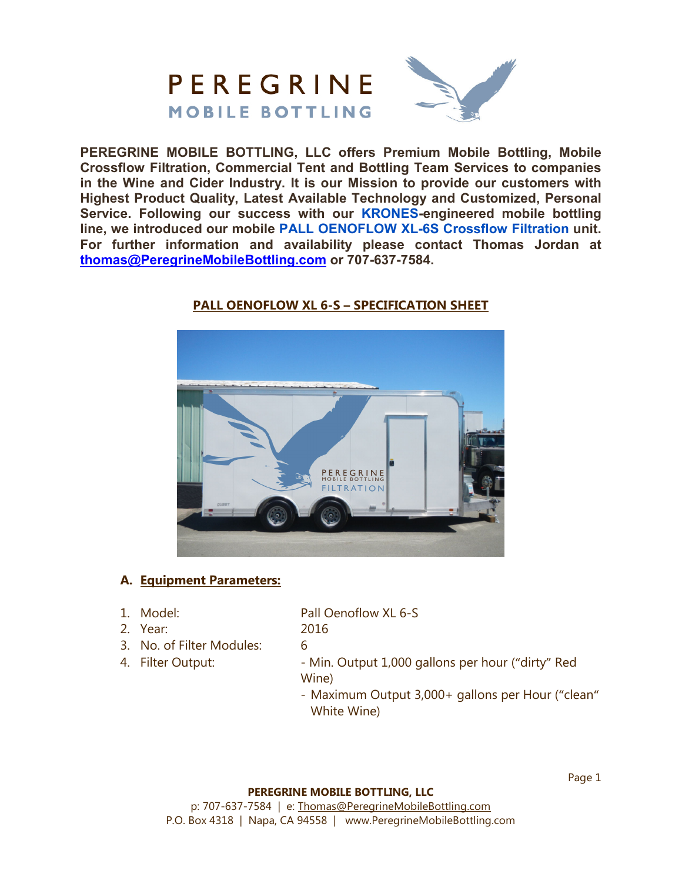

**PEREGRINE MOBILE BOTTLING, LLC offers Premium Mobile Bottling, Mobile Crossflow Filtration, Commercial Tent and Bottling Team Services to companies in the Wine and Cider Industry. It is our Mission to provide our customers with Highest Product Quality, Latest Available Technology and Customized, Personal Service. Following our success with our KRONES-engineered mobile bottling line, we introduced our mobile PALL OENOFLOW XL-6S Crossflow Filtration unit. For further information and availability please contact Thomas Jordan at thomas@PeregrineMobileBottling.com or 707-637-7584.** 



## **PALL OENOFLOW XL 6-S – SPECIFICATION SHEET**

## **A. Equipment Parameters:**

1. Model: Pall Oenoflow XL 6-S

2. Year: 2016

- 3. No. of Filter Modules: 6
- 

4. Filter Output:  $\blacksquare$  - Min. Output 1,000 gallons per hour ("dirty" Red Wine)

> - Maximum Output 3,000+ gallons per Hour ("clean" White Wine)

### **PEREGRINE MOBILE BOTTLING, LLC**

p: 707-637-7584 | e: Thomas@PeregrineMobileBottling.com P.O. Box 4318 | Napa, CA 94558 | www.PeregrineMobileBottling.com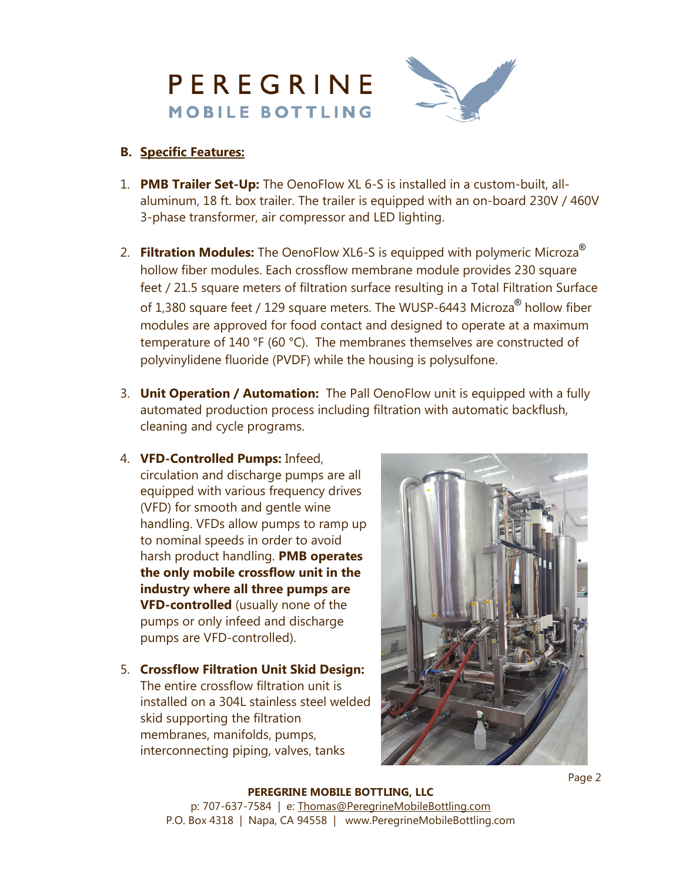

## **B. Specific Features:**

- 1. **PMB Trailer Set-Up:** The OenoFlow XL 6-S is installed in a custom-built, allaluminum, 18 ft. box trailer. The trailer is equipped with an on-board 230V / 460V 3-phase transformer, air compressor and LED lighting.
- 2. **Filtration Modules:** The OenoFlow XL6-S is equipped with polymeric Microza ® hollow fiber modules. Each crossflow membrane module provides 230 square feet / 21.5 square meters of filtration surface resulting in a Total Filtration Surface of 1,380 square feet / 129 square meters. The WUSP-6443 Microza® hollow fiber modules are approved for food contact and designed to operate at a maximum temperature of 140 °F (60 °C). The membranes themselves are constructed of polyvinylidene fluoride (PVDF) while the housing is polysulfone.
- 3. **Unit Operation / Automation:** The Pall OenoFlow unit is equipped with a fully automated production process including filtration with automatic backflush, cleaning and cycle programs.
- 4. **VFD-Controlled Pumps:** Infeed, circulation and discharge pumps are all equipped with various frequency drives (VFD) for smooth and gentle wine handling. VFDs allow pumps to ramp up to nominal speeds in order to avoid harsh product handling. **PMB operates the only mobile crossflow unit in the industry where all three pumps are VFD-controlled** (usually none of the pumps or only infeed and discharge pumps are VFD-controlled).
- 5. **Crossflow Filtration Unit Skid Design:**  The entire crossflow filtration unit is installed on a 304L stainless steel welded skid supporting the filtration membranes, manifolds, pumps, interconnecting piping, valves, tanks



**PEREGRINE MOBILE BOTTLING, LLC** p: 707-637-7584 | e: Thomas@PeregrineMobileBottling.com P.O. Box 4318 | Napa, CA 94558 | www.PeregrineMobileBottling.com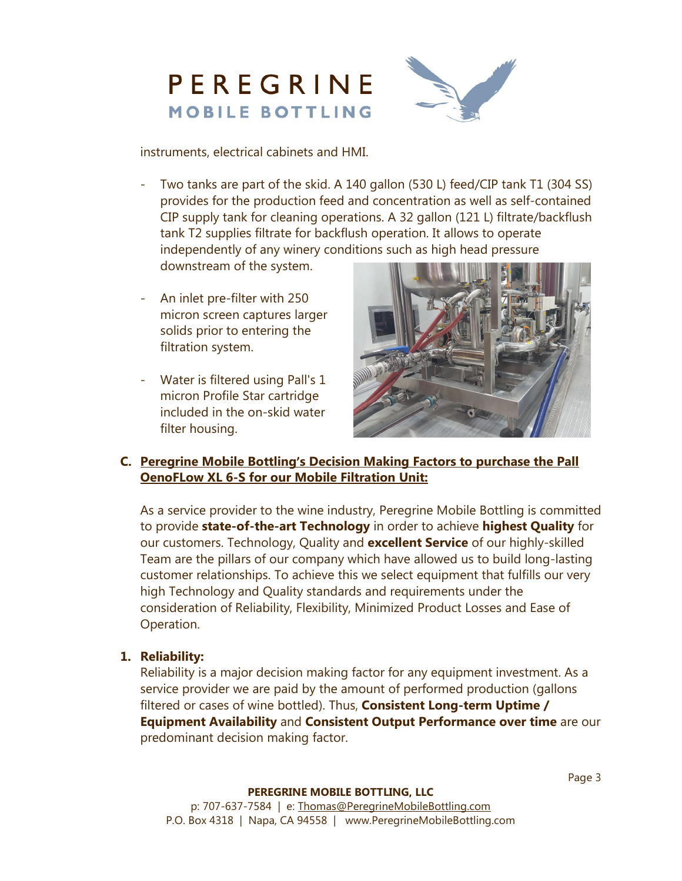



instruments, electrical cabinets and HMI.

- Two tanks are part of the skid. A 140 gallon (530 L) feed/CIP tank T1 (304 SS) provides for the production feed and concentration as well as self-contained CIP supply tank for cleaning operations. A 32 gallon (121 L) filtrate/backflush tank T2 supplies filtrate for backflush operation. It allows to operate independently of any winery conditions such as high head pressure downstream of the system.
- An inlet pre-filter with 250 micron screen captures larger solids prior to entering the filtration system.
- Water is filtered using Pall's 1 micron Profile Star cartridge included in the on-skid water filter housing.



## **C. Peregrine Mobile Bottling's Decision Making Factors to purchase the Pall OenoFLow XL 6-S for our Mobile Filtration Unit:**

As a service provider to the wine industry, Peregrine Mobile Bottling is committed to provide **state-of-the-art Technology** in order to achieve **highest Quality** for our customers. Technology, Quality and **excellent Service** of our highly-skilled Team are the pillars of our company which have allowed us to build long-lasting customer relationships. To achieve this we select equipment that fulfills our very high Technology and Quality standards and requirements under the consideration of Reliability, Flexibility, Minimized Product Losses and Ease of Operation.

## **1. Reliability:**

 Reliability is a major decision making factor for any equipment investment. As a service provider we are paid by the amount of performed production (gallons filtered or cases of wine bottled). Thus, **Consistent Long-term Uptime / Equipment Availability** and **Consistent Output Performance over time** are our predominant decision making factor.

#### **PEREGRINE MOBILE BOTTLING, LLC**

p: 707-637-7584 | e: Thomas@PeregrineMobileBottling.com P.O. Box 4318 | Napa, CA 94558 | www.PeregrineMobileBottling.com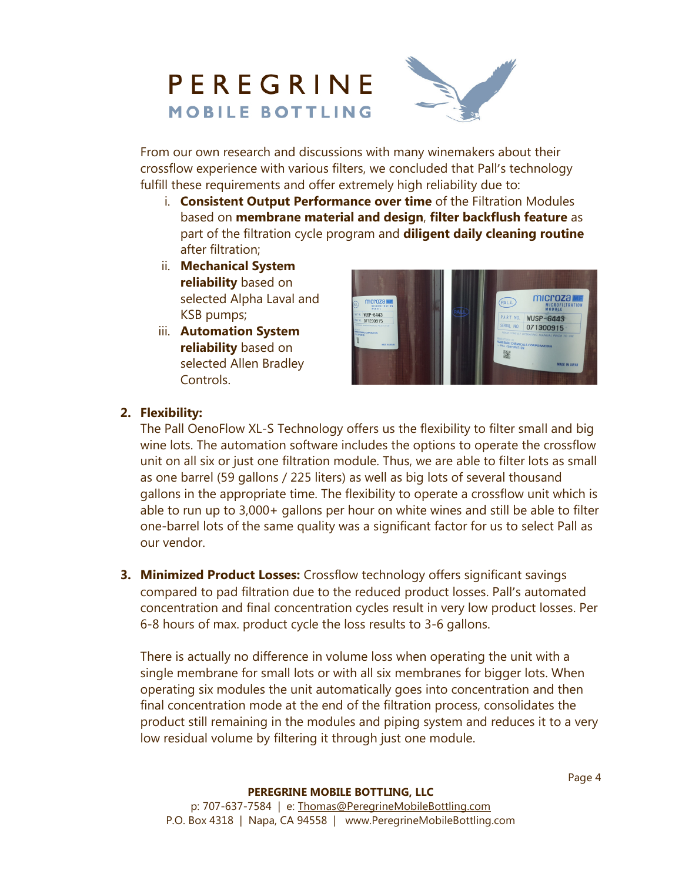# PEREGRINE **MOBILE BOTTLING**



From our own research and discussions with many winemakers about their crossflow experience with various filters, we concluded that Pall's technology fulfill these requirements and offer extremely high reliability due to:

- i. **Consistent Output Performance over time** of the Filtration Modules based on **membrane material and design**, **filter backflush feature** as part of the filtration cycle program and **diligent daily cleaning routine** after filtration;
- ii. **Mechanical System reliability** based on selected Alpha Laval and KSB pumps;
- iii. **Automation System reliability** based on selected Allen Bradley Controls.



## **2. Flexibility:**

The Pall OenoFlow XL-S Technology offers us the flexibility to filter small and big wine lots. The automation software includes the options to operate the crossflow unit on all six or just one filtration module. Thus, we are able to filter lots as small as one barrel (59 gallons / 225 liters) as well as big lots of several thousand gallons in the appropriate time. The flexibility to operate a crossflow unit which is able to run up to 3,000+ gallons per hour on white wines and still be able to filter one-barrel lots of the same quality was a significant factor for us to select Pall as our vendor.

**3. Minimized Product Losses:** Crossflow technology offers significant savings compared to pad filtration due to the reduced product losses. Pall's automated concentration and final concentration cycles result in very low product losses. Per 6-8 hours of max. product cycle the loss results to 3-6 gallons.

There is actually no difference in volume loss when operating the unit with a single membrane for small lots or with all six membranes for bigger lots. When operating six modules the unit automatically goes into concentration and then final concentration mode at the end of the filtration process, consolidates the product still remaining in the modules and piping system and reduces it to a very low residual volume by filtering it through just one module.

#### **PEREGRINE MOBILE BOTTLING, LLC**

p: 707-637-7584 | e: Thomas@PeregrineMobileBottling.com P.O. Box 4318 | Napa, CA 94558 | www.PeregrineMobileBottling.com